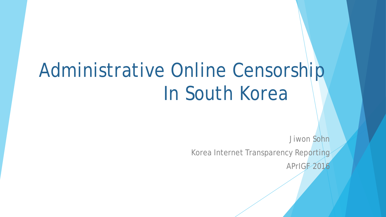# Administrative Online Censorship In South Korea

Jiwon Sohn Korea Internet Transparency Reporting

APrIGF 2016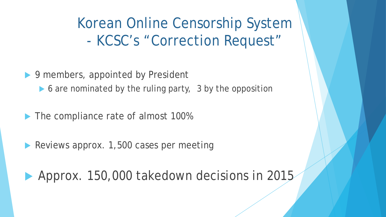Korean Online Censorship System - KCSC's "Correction Request"

▶ 9 members, appointed by President

▶ 6 are nominated by the ruling party, 3 by the opposition

The compliance rate of almost 100%

Reviews approx. 1,500 cases per meeting

Approx. 150,000 takedown decisions in 2015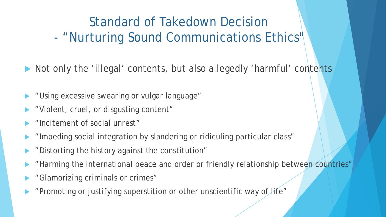#### Standard of Takedown Decision - "Nurturing Sound Communications Ethics"

Not only the 'illegal' contents, but also allegedly 'harmful' contents

- "Using excessive swearing or vulgar language"
- "Violent, cruel, or disgusting content"
- "Incitement of social unrest"
- "Impeding social integration by slandering or ridiculing particular class"
- "Distorting the history against the constitution"
- "Harming the international peace and order or friendly relationship between countries"
- "Glamorizing criminals or crimes"
- "Promoting or justifying superstition or other unscientific way of life"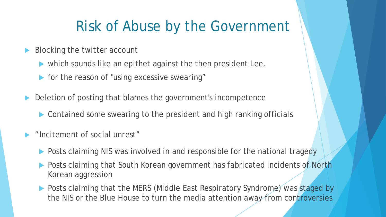### Risk of Abuse by the Government

- Blocking the twitter account
	- which sounds like an epithet against the then president Lee,
	- **For the reason of "using excessive swearing"**
- Deletion of posting that blames the government's incompetence
	- ▶ Contained some swearing to the president and high ranking officials
- "Incitement of social unrest"
	- **Posts claiming NIS was involved in and responsible for the national tragedy**
	- Posts claiming that South Korean government has fabricated incidents of North Korean aggression
	- ▶ Posts claiming that the MERS (Middle East Respiratory Syndrome) was staged by the NIS or the Blue House to turn the media attention away from controversies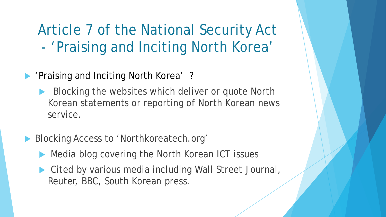Article 7 of the National Security Act - 'Praising and Inciting North Korea'

- **'Praising and Inciting North Korea' ?** 
	- Blocking the websites which deliver or quote North Korean statements or reporting of North Korean news service.
- Blocking Access to 'Northkoreatech.org'
	- Media blog covering the North Korean ICT issues
	- ▶ Cited by various media including Wall Street Journal, Reuter, BBC, South Korean press.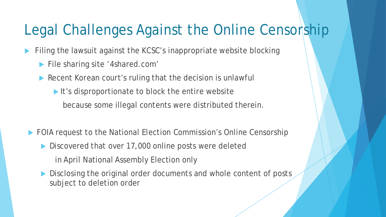#### Legal Challenges Against the Online Censorship

Filing the lawsuit against the KCSC's inappropriate website blocking

- **File sharing site '4shared.com'**
- Recent Korean court's ruling that the decision is unlawful
	- It's disproportionate to block the entire website because some illegal contents were distributed therein.
- ▶ FOIA request to the National Election Commission's Online Censorship
	- Discovered that over 17,000 online posts were deleted

in April National Assembly Election only

 Disclosing the original order documents and whole content of posts subject to deletion order